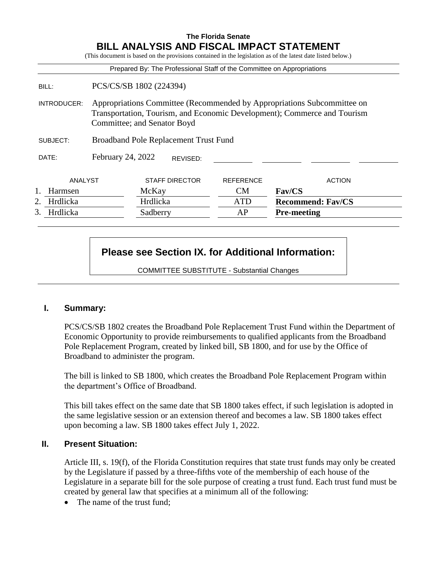### **The Florida Senate BILL ANALYSIS AND FISCAL IMPACT STATEMENT**

|                       |                                                                                                                                                                                    |                       |                                              |                  | (This document is based on the provisions contained in the legislation as of the latest date listed below.) |
|-----------------------|------------------------------------------------------------------------------------------------------------------------------------------------------------------------------------|-----------------------|----------------------------------------------|------------------|-------------------------------------------------------------------------------------------------------------|
|                       |                                                                                                                                                                                    |                       |                                              |                  | Prepared By: The Professional Staff of the Committee on Appropriations                                      |
| BILL:                 | PCS/CS/SB 1802 (224394)                                                                                                                                                            |                       |                                              |                  |                                                                                                             |
| INTRODUCER:           | Appropriations Committee (Recommended by Appropriations Subcommittee on<br>Transportation, Tourism, and Economic Development); Commerce and Tourism<br>Committee; and Senator Boyd |                       |                                              |                  |                                                                                                             |
| SUBJECT:              |                                                                                                                                                                                    |                       | <b>Broadband Pole Replacement Trust Fund</b> |                  |                                                                                                             |
| DATE:                 | February 24, 2022                                                                                                                                                                  |                       | REVISED:                                     |                  |                                                                                                             |
| ANALYST               |                                                                                                                                                                                    | <b>STAFF DIRECTOR</b> |                                              | <b>REFERENCE</b> | <b>ACTION</b>                                                                                               |
| Harmsen               |                                                                                                                                                                                    | McKay                 |                                              | <b>CM</b>        | Fav/CS                                                                                                      |
| 2.<br><b>Hrdlicka</b> |                                                                                                                                                                                    | Hrdlicka              |                                              | <b>ATD</b>       | <b>Recommend: Fav/CS</b>                                                                                    |
| 3.<br>Hrdlicka        |                                                                                                                                                                                    | Sadberry              |                                              | AP               | <b>Pre-meeting</b>                                                                                          |

# **Please see Section IX. for Additional Information:**

COMMITTEE SUBSTITUTE - Substantial Changes

### **I. Summary:**

PCS/CS/SB 1802 creates the Broadband Pole Replacement Trust Fund within the Department of Economic Opportunity to provide reimbursements to qualified applicants from the Broadband Pole Replacement Program, created by linked bill, SB 1800, and for use by the Office of Broadband to administer the program.

The bill is linked to SB 1800, which creates the Broadband Pole Replacement Program within the department's Office of Broadband.

This bill takes effect on the same date that SB 1800 takes effect, if such legislation is adopted in the same legislative session or an extension thereof and becomes a law. SB 1800 takes effect upon becoming a law. SB 1800 takes effect July 1, 2022.

#### **II. Present Situation:**

Article III, s. 19(f), of the Florida Constitution requires that state trust funds may only be created by the Legislature if passed by a three-fifths vote of the membership of each house of the Legislature in a separate bill for the sole purpose of creating a trust fund. Each trust fund must be created by general law that specifies at a minimum all of the following:

• The name of the trust fund: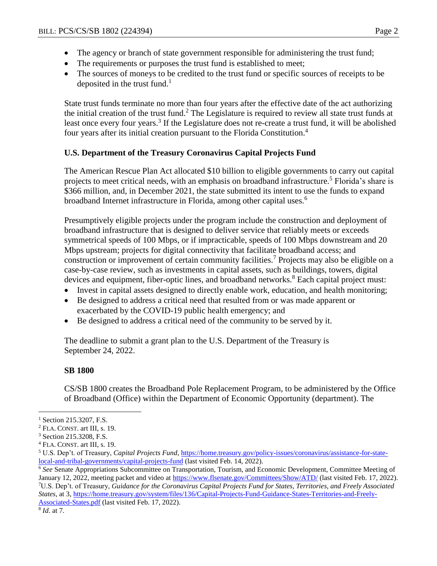- The agency or branch of state government responsible for administering the trust fund;
- The requirements or purposes the trust fund is established to meet;
- The sources of moneys to be credited to the trust fund or specific sources of receipts to be deposited in the trust fund.<sup>1</sup>

State trust funds terminate no more than four years after the effective date of the act authorizing the initial creation of the trust fund.<sup>2</sup> The Legislature is required to review all state trust funds at least once every four years.<sup>3</sup> If the Legislature does not re-create a trust fund, it will be abolished four years after its initial creation pursuant to the Florida Constitution.<sup>4</sup>

# **U.S. Department of the Treasury Coronavirus Capital Projects Fund**

The American Rescue Plan Act allocated \$10 billion to eligible governments to carry out capital projects to meet critical needs, with an emphasis on broadband infrastructure.<sup>5</sup> Florida's share is \$366 million, and, in December 2021, the state submitted its intent to use the funds to expand broadband Internet infrastructure in Florida, among other capital uses.<sup>6</sup>

Presumptively eligible projects under the program include the construction and deployment of broadband infrastructure that is designed to deliver service that reliably meets or exceeds symmetrical speeds of 100 Mbps, or if impracticable, speeds of 100 Mbps downstream and 20 Mbps upstream; projects for digital connectivity that facilitate broadband access; and construction or improvement of certain community facilities.<sup>7</sup> Projects may also be eligible on a case-by-case review, such as investments in capital assets, such as buildings, towers, digital devices and equipment, fiber-optic lines, and broadband networks.<sup>8</sup> Each capital project must:

- Invest in capital assets designed to directly enable work, education, and health monitoring;
- Be designed to address a critical need that resulted from or was made apparent or exacerbated by the COVID-19 public health emergency; and
- Be designed to address a critical need of the community to be served by it.

The deadline to submit a grant plan to the U.S. Department of the Treasury is September 24, 2022.

### **SB 1800**

CS/SB 1800 creates the Broadband Pole Replacement Program, to be administered by the Office of Broadband (Office) within the Department of Economic Opportunity (department). The

<sup>6</sup> *See* Senate Appropriations Subcommittee on Transportation, Tourism, and Economic Development, Committee Meeting of January 12, 2022, meeting packet and video at<https://www.flsenate.gov/Committees/Show/ATD/> (last visited Feb. 17, 2022). <sup>7</sup>U.S. Dep't. of Treasury, *Guidance for the Coronavirus Capital Projects Fund for States, Territories, and Freely Associated States,* at 3[, https://home.treasury.gov/system/files/136/Capital-Projects-Fund-Guidance-States-Territories-and-Freely-](https://home.treasury.gov/system/files/136/Capital-Projects-Fund-Guidance-States-Territories-and-Freely-Associated-States.pdf)[Associated-States.pdf](https://home.treasury.gov/system/files/136/Capital-Projects-Fund-Guidance-States-Territories-and-Freely-Associated-States.pdf) (last visited Feb. 17, 2022).

 $\overline{a}$ 

<sup>&</sup>lt;sup>1</sup> Section 215.3207, F.S.

<sup>2</sup> FLA. CONST. art III, s. 19.

<sup>3</sup> Section 215.3208, F.S.

<sup>4</sup> FLA. CONST. art III, s. 19.

<sup>5</sup> U.S. Dep't. of Treasury, *Capital Projects Fund*[, https://home.treasury.gov/policy-issues/coronavirus/assistance-for-state](https://home.treasury.gov/policy-issues/coronavirus/assistance-for-state-local-and-tribal-governments/capital-projects-fund)[local-and-tribal-governments/capital-projects-fund](https://home.treasury.gov/policy-issues/coronavirus/assistance-for-state-local-and-tribal-governments/capital-projects-fund) (last visited Feb. 14, 2022).

<sup>8</sup> *Id*. at 7.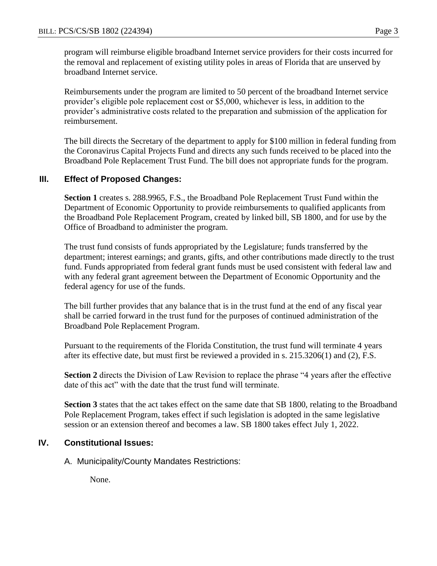program will reimburse eligible broadband Internet service providers for their costs incurred for the removal and replacement of existing utility poles in areas of Florida that are unserved by broadband Internet service.

Reimbursements under the program are limited to 50 percent of the broadband Internet service provider's eligible pole replacement cost or \$5,000, whichever is less, in addition to the provider's administrative costs related to the preparation and submission of the application for reimbursement.

The bill directs the Secretary of the department to apply for \$100 million in federal funding from the Coronavirus Capital Projects Fund and directs any such funds received to be placed into the Broadband Pole Replacement Trust Fund. The bill does not appropriate funds for the program.

### **III. Effect of Proposed Changes:**

**Section 1** creates s. 288.9965, F.S., the Broadband Pole Replacement Trust Fund within the Department of Economic Opportunity to provide reimbursements to qualified applicants from the Broadband Pole Replacement Program, created by linked bill, SB 1800, and for use by the Office of Broadband to administer the program.

The trust fund consists of funds appropriated by the Legislature; funds transferred by the department; interest earnings; and grants, gifts, and other contributions made directly to the trust fund. Funds appropriated from federal grant funds must be used consistent with federal law and with any federal grant agreement between the Department of Economic Opportunity and the federal agency for use of the funds.

The bill further provides that any balance that is in the trust fund at the end of any fiscal year shall be carried forward in the trust fund for the purposes of continued administration of the Broadband Pole Replacement Program.

Pursuant to the requirements of the Florida Constitution, the trust fund will terminate 4 years after its effective date, but must first be reviewed a provided in s. 215.3206(1) and (2), F.S.

**Section 2** directs the Division of Law Revision to replace the phrase "4 years after the effective date of this act" with the date that the trust fund will terminate.

**Section 3** states that the act takes effect on the same date that SB 1800, relating to the Broadband Pole Replacement Program, takes effect if such legislation is adopted in the same legislative session or an extension thereof and becomes a law. SB 1800 takes effect July 1, 2022.

### **IV. Constitutional Issues:**

A. Municipality/County Mandates Restrictions:

None.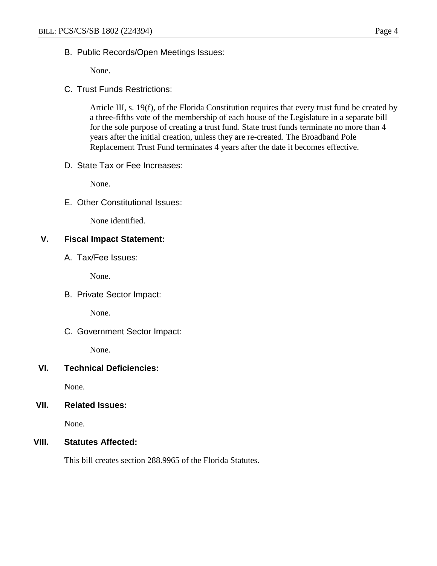B. Public Records/Open Meetings Issues:

None.

C. Trust Funds Restrictions:

Article III, s. 19(f), of the Florida Constitution requires that every trust fund be created by a three-fifths vote of the membership of each house of the Legislature in a separate bill for the sole purpose of creating a trust fund. State trust funds terminate no more than 4 years after the initial creation, unless they are re-created. The Broadband Pole Replacement Trust Fund terminates 4 years after the date it becomes effective.

D. State Tax or Fee Increases:

None.

E. Other Constitutional Issues:

None identified.

### **V. Fiscal Impact Statement:**

A. Tax/Fee Issues:

None.

B. Private Sector Impact:

None.

C. Government Sector Impact:

None.

# **VI. Technical Deficiencies:**

None.

# **VII. Related Issues:**

None.

# **VIII. Statutes Affected:**

This bill creates section 288.9965 of the Florida Statutes.